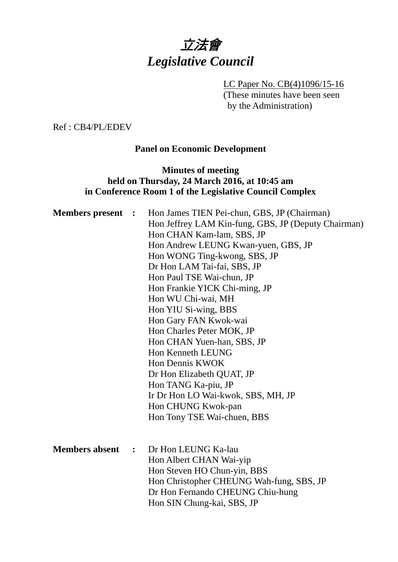# 立法會 *Legislative Council*

LC Paper No. CB(4)1096/15-16 (These minutes have been seen by the Administration)

Ref : CB4/PL/EDEV

## **Panel on Economic Development**

# **Minutes of meeting held on Thursday, 24 March 2016, at 10:45 am in Conference Room 1 of the Legislative Council Complex**

| <b>Members present :</b> |                | Hon James TIEN Pei-chun, GBS, JP (Chairman)<br>Hon Jeffrey LAM Kin-fung, GBS, JP (Deputy Chairman)<br>Hon CHAN Kam-lam, SBS, JP<br>Hon Andrew LEUNG Kwan-yuen, GBS, JP<br>Hon WONG Ting-kwong, SBS, JP<br>Dr Hon LAM Tai-fai, SBS, JP |
|--------------------------|----------------|---------------------------------------------------------------------------------------------------------------------------------------------------------------------------------------------------------------------------------------|
|                          |                | Hon Paul TSE Wai-chun, JP<br>Hon Frankie YICK Chi-ming, JP                                                                                                                                                                            |
|                          |                | Hon WU Chi-wai, MH                                                                                                                                                                                                                    |
|                          |                | Hon YIU Si-wing, BBS                                                                                                                                                                                                                  |
|                          |                | Hon Gary FAN Kwok-wai                                                                                                                                                                                                                 |
|                          |                | Hon Charles Peter MOK, JP                                                                                                                                                                                                             |
|                          |                | Hon CHAN Yuen-han, SBS, JP                                                                                                                                                                                                            |
|                          |                | Hon Kenneth LEUNG                                                                                                                                                                                                                     |
|                          |                | Hon Dennis KWOK                                                                                                                                                                                                                       |
|                          |                | Dr Hon Elizabeth QUAT, JP<br>Hon TANG Ka-piu, JP                                                                                                                                                                                      |
|                          |                | Ir Dr Hon LO Wai-kwok, SBS, MH, JP                                                                                                                                                                                                    |
|                          |                | Hon CHUNG Kwok-pan                                                                                                                                                                                                                    |
|                          |                | Hon Tony TSE Wai-chuen, BBS                                                                                                                                                                                                           |
|                          |                |                                                                                                                                                                                                                                       |
| <b>Members absent</b>    | $\ddot{\cdot}$ | Dr Hon LEUNG Ka-lau                                                                                                                                                                                                                   |
|                          |                | Hon Albert CHAN Wai-yip                                                                                                                                                                                                               |
|                          |                | Hon Steven HO Chun-yin, BBS                                                                                                                                                                                                           |
|                          |                | Hon Christopher CHEUNG Wah-fung, SBS, JP                                                                                                                                                                                              |
|                          |                | Dr Hon Fernando CHEUNG Chiu-hung                                                                                                                                                                                                      |
|                          |                | Hon SIN Chung-kai, SBS, JP                                                                                                                                                                                                            |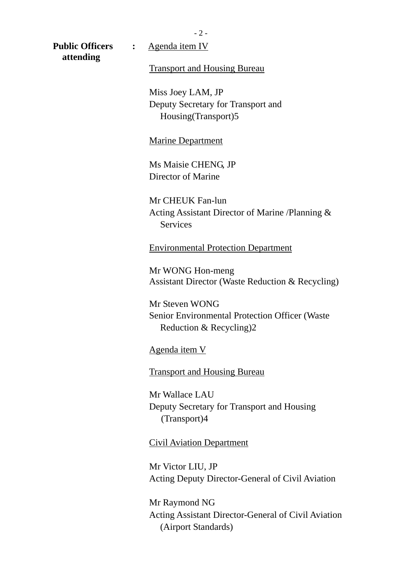$-2-$ 

**attending** 

**Public Officers :** Agenda item IV

Transport and Housing Bureau

Miss Joey LAM, JP Deputy Secretary for Transport and Housing(Transport)5

Marine Department

Ms Maisie CHENG, JP Director of Marine

Mr CHEUK Fan-lun Acting Assistant Director of Marine /Planning & **Services** 

Environmental Protection Department

Mr WONG Hon-meng Assistant Director (Waste Reduction & Recycling)

Mr Steven WONG Senior Environmental Protection Officer (Waste Reduction & Recycling)2

Agenda item V

Transport and Housing Bureau

Mr Wallace LAU Deputy Secretary for Transport and Housing (Transport)4

Civil Aviation Department

Mr Victor LIU, JP Acting Deputy Director-General of Civil Aviation

Mr Raymond NG Acting Assistant Director-General of Civil Aviation (Airport Standards)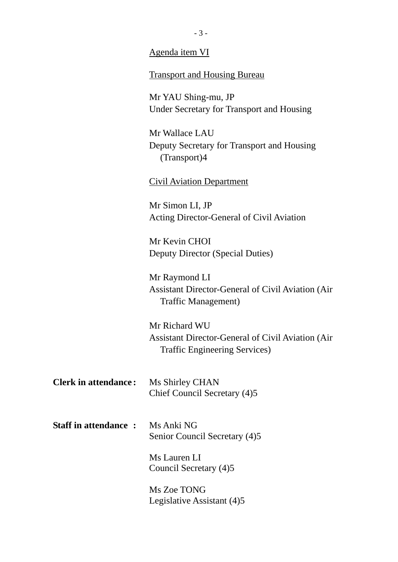|                             | Agenda item VI                                                                                    |  |
|-----------------------------|---------------------------------------------------------------------------------------------------|--|
|                             | <b>Transport and Housing Bureau</b>                                                               |  |
|                             | Mr YAU Shing-mu, JP                                                                               |  |
|                             | Under Secretary for Transport and Housing                                                         |  |
|                             | Mr Wallace LAU                                                                                    |  |
|                             | Deputy Secretary for Transport and Housing<br>(Transport)4                                        |  |
|                             | <b>Civil Aviation Department</b>                                                                  |  |
|                             | Mr Simon LI, JP                                                                                   |  |
|                             | Acting Director-General of Civil Aviation                                                         |  |
|                             | Mr Kevin CHOI                                                                                     |  |
|                             | Deputy Director (Special Duties)                                                                  |  |
|                             | Mr Raymond LI                                                                                     |  |
|                             | <b>Assistant Director-General of Civil Aviation (Air)</b><br>Traffic Management)                  |  |
|                             | Mr Richard WU                                                                                     |  |
|                             | <b>Assistant Director-General of Civil Aviation (Air</b><br><b>Traffic Engineering Services</b> ) |  |
| <b>Clerk in attendance:</b> | Ms Shirley CHAN<br>Chief Council Secretary (4)5                                                   |  |
| <b>Staff in attendance:</b> | Ms Anki NG                                                                                        |  |
|                             | Senior Council Secretary (4)5                                                                     |  |

Ms Lauren LI Council Secretary (4)5

Ms Zoe TONG Legislative Assistant (4)5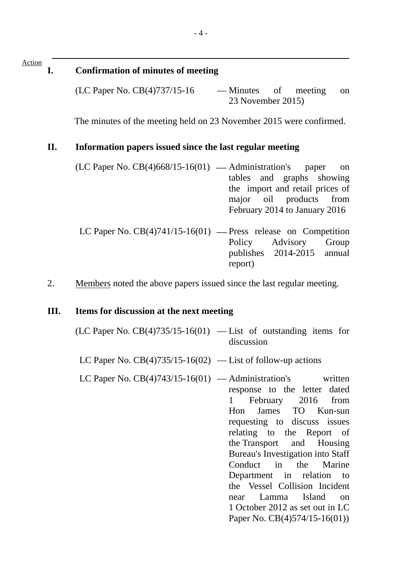#### Action

#### **I. Confirmation of minutes of meeting**

 $(LC$  Paper No.  $CB(4)737/15-16$  — Minutes of meeting on 23 November 2015)

The minutes of the meeting held on 23 November 2015 were confirmed.

#### **II. Information papers issued since the last regular meeting**

- $(LC$  Paper No.  $CB(4)668/15-16(01)$  Administration's paper on tables and graphs showing the import and retail prices of major oil products from February 2014 to January 2016
- LC Paper No.  $CB(4)741/15-16(01)$  Press release on Competition Policy Advisory Group publishes 2014-2015 annual report)
- 2. Members noted the above papers issued since the last regular meeting.

#### **III. Items for discussion at the next meeting**

- $(LC$  Paper No.  $CB(4)735/15-16(01)$  List of outstanding items for discussion
- LC Paper No.  $CB(4)735/15-16(02)$  List of follow-up actions
- LC Paper No.  $CB(4)743/15-16(01)$  Administration's written response to the letter dated 1 February 2016 from Hon James TO Kun-sun requesting to discuss issues relating to the Report of the Transport and Housing Bureau's Investigation into Staff Conduct in the Marine Department in relation to the Vessel Collision Incident near Lamma Island on 1 October 2012 as set out in LC Paper No. CB(4)574/15-16(01))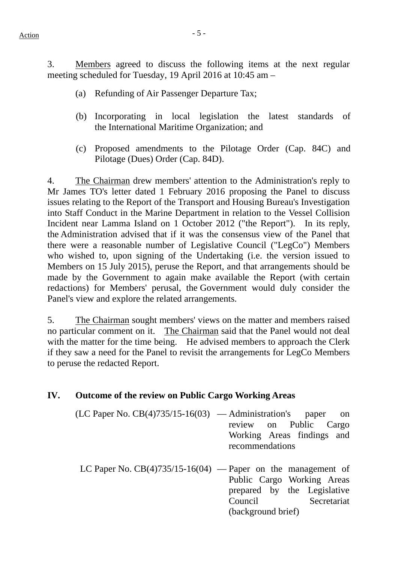$Action$ 

3. Members agreed to discuss the following items at the next regular meeting scheduled for Tuesday, 19 April 2016 at 10:45 am –

- (a) Refunding of Air Passenger Departure Tax;
- (b) Incorporating in local legislation the latest standards of the International Maritime Organization; and
- (c) Proposed amendments to the Pilotage Order (Cap. 84C) and Pilotage (Dues) Order (Cap. 84D).

4. The Chairman drew members' attention to the Administration's reply to Mr James TO's letter dated 1 February 2016 proposing the Panel to discuss issues relating to the Report of the Transport and Housing Bureau's Investigation into Staff Conduct in the Marine Department in relation to the Vessel Collision Incident near Lamma Island on 1 October 2012 ("the Report"). In its reply, the Administration advised that if it was the consensus view of the Panel that there were a reasonable number of Legislative Council ("LegCo") Members who wished to, upon signing of the Undertaking (i.e. the version issued to Members on 15 July 2015), peruse the Report, and that arrangements should be made by the Government to again make available the Report (with certain redactions) for Members' perusal, the Government would duly consider the Panel's view and explore the related arrangements.

5. The Chairman sought members' views on the matter and members raised no particular comment on it. The Chairman said that the Panel would not deal with the matter for the time being. He advised members to approach the Clerk if they saw a need for the Panel to revisit the arrangements for LegCo Members to peruse the redacted Report.

# **IV. Outcome of the review on Public Cargo Working Areas**

- $(LC$  Paper No.  $CB(4)735/15-16(03)$  Administration's paper on review on Public Cargo Working Areas findings and recommendations
	- LC Paper No.  $CB(4)735/15-16(04)$  Paper on the management of Public Cargo Working Areas prepared by the Legislative Council Secretariat (background brief)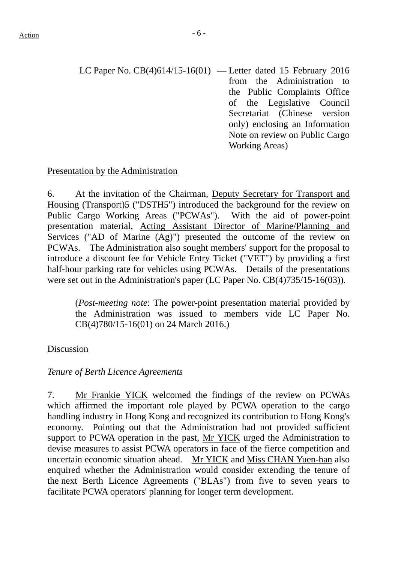LC Paper No. CB(4)614/15-16(01) — Letter dated 15 February 2016 from the Administration to the Public Complaints Office of the Legislative Council Secretariat (Chinese version only) enclosing an Information Note on review on Public Cargo Working Areas)

# Presentation by the Administration

6. At the invitation of the Chairman, Deputy Secretary for Transport and Housing (Transport)5 ("DSTH5") introduced the background for the review on Public Cargo Working Areas ("PCWAs"). With the aid of power-point presentation material, Acting Assistant Director of Marine/Planning and Services ("AD of Marine (Ag)") presented the outcome of the review on PCWAs. The Administration also sought members' support for the proposal to introduce a discount fee for Vehicle Entry Ticket ("VET") by providing a first half-hour parking rate for vehicles using PCWAs. Details of the presentations were set out in the Administration's paper (LC Paper No. CB(4)735/15-16(03)).

(*Post-meeting note*: The power-point presentation material provided by the Administration was issued to members vide LC Paper No. CB(4)780/15-16(01) on 24 March 2016.)

# Discussion

# *Tenure of Berth Licence Agreements*

7. Mr Frankie YICK welcomed the findings of the review on PCWAs which affirmed the important role played by PCWA operation to the cargo handling industry in Hong Kong and recognized its contribution to Hong Kong's economy. Pointing out that the Administration had not provided sufficient support to PCWA operation in the past, Mr YICK urged the Administration to devise measures to assist PCWA operators in face of the fierce competition and uncertain economic situation ahead. Mr YICK and Miss CHAN Yuen-han also enquired whether the Administration would consider extending the tenure of the next Berth Licence Agreements ("BLAs") from five to seven years to facilitate PCWA operators' planning for longer term development.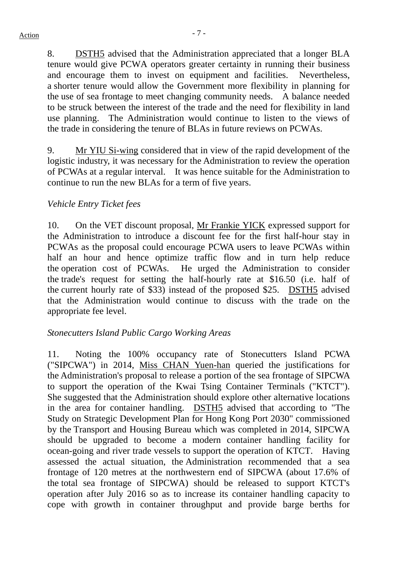8. DSTH5 advised that the Administration appreciated that a longer BLA tenure would give PCWA operators greater certainty in running their business and encourage them to invest on equipment and facilities. Nevertheless, a shorter tenure would allow the Government more flexibility in planning for the use of sea frontage to meet changing community needs. A balance needed to be struck between the interest of the trade and the need for flexibility in land use planning. The Administration would continue to listen to the views of the trade in considering the tenure of BLAs in future reviews on PCWAs.

9. Mr YIU Si-wing considered that in view of the rapid development of the logistic industry, it was necessary for the Administration to review the operation of PCWAs at a regular interval. It was hence suitable for the Administration to continue to run the new BLAs for a term of five years.

# *Vehicle Entry Ticket fees*

10. On the VET discount proposal, Mr Frankie YICK expressed support for the Administration to introduce a discount fee for the first half-hour stay in PCWAs as the proposal could encourage PCWA users to leave PCWAs within half an hour and hence optimize traffic flow and in turn help reduce the operation cost of PCWAs. He urged the Administration to consider the trade's request for setting the half-hourly rate at \$16.50 (i.e. half of the current hourly rate of \$33) instead of the proposed \$25. DSTH5 advised that the Administration would continue to discuss with the trade on the appropriate fee level.

# *Stonecutters Island Public Cargo Working Areas*

11. Noting the 100% occupancy rate of Stonecutters Island PCWA ("SIPCWA") in 2014, Miss CHAN Yuen-han queried the justifications for the Administration's proposal to release a portion of the sea frontage of SIPCWA to support the operation of the Kwai Tsing Container Terminals ("KTCT"). She suggested that the Administration should explore other alternative locations in the area for container handling. DSTH5 advised that according to "The Study on Strategic Development Plan for Hong Kong Port 2030" commissioned by the Transport and Housing Bureau which was completed in 2014, SIPCWA should be upgraded to become a modern container handling facility for ocean-going and river trade vessels to support the operation of KTCT. Having assessed the actual situation, the Administration recommended that a sea frontage of 120 metres at the northwestern end of SIPCWA (about 17.6% of the total sea frontage of SIPCWA) should be released to support KTCT's operation after July 2016 so as to increase its container handling capacity to cope with growth in container throughput and provide barge berths for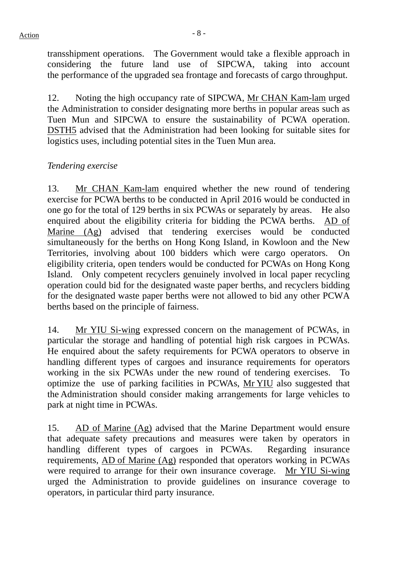transshipment operations. The Government would take a flexible approach in considering the future land use of SIPCWA, taking into account the performance of the upgraded sea frontage and forecasts of cargo throughput.

12. Noting the high occupancy rate of SIPCWA, Mr CHAN Kam-lam urged the Administration to consider designating more berths in popular areas such as Tuen Mun and SIPCWA to ensure the sustainability of PCWA operation. DSTH5 advised that the Administration had been looking for suitable sites for logistics uses, including potential sites in the Tuen Mun area.

# *Tendering exercise*

13. Mr CHAN Kam-lam enquired whether the new round of tendering exercise for PCWA berths to be conducted in April 2016 would be conducted in one go for the total of 129 berths in six PCWAs or separately by areas. He also enquired about the eligibility criteria for bidding the PCWA berths. AD of Marine (Ag) advised that tendering exercises would be conducted simultaneously for the berths on Hong Kong Island, in Kowloon and the New Territories, involving about 100 bidders which were cargo operators. On eligibility criteria, open tenders would be conducted for PCWAs on Hong Kong Island. Only competent recyclers genuinely involved in local paper recycling operation could bid for the designated waste paper berths, and recyclers bidding for the designated waste paper berths were not allowed to bid any other PCWA berths based on the principle of fairness.

14. Mr YIU Si-wing expressed concern on the management of PCWAs, in particular the storage and handling of potential high risk cargoes in PCWAs. He enquired about the safety requirements for PCWA operators to observe in handling different types of cargoes and insurance requirements for operators working in the six PCWAs under the new round of tendering exercises. To optimize the use of parking facilities in PCWAs, Mr YIU also suggested that the Administration should consider making arrangements for large vehicles to park at night time in PCWAs.

15. AD of Marine (Ag) advised that the Marine Department would ensure that adequate safety precautions and measures were taken by operators in handling different types of cargoes in PCWAs. Regarding insurance requirements, AD of Marine (Ag) responded that operators working in PCWAs were required to arrange for their own insurance coverage. Mr YIU Si-wing urged the Administration to provide guidelines on insurance coverage to operators, in particular third party insurance.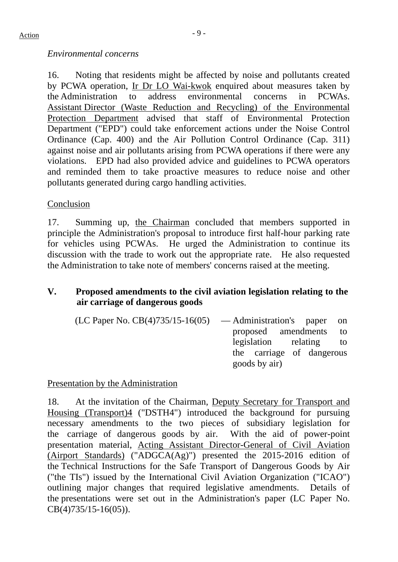## *Environmental concerns*

16. Noting that residents might be affected by noise and pollutants created by PCWA operation, Ir Dr LO Wai-kwok enquired about measures taken by the Administration to address environmental concerns in PCWAs. Assistant Director (Waste Reduction and Recycling) of the Environmental Protection Department advised that staff of Environmental Protection Department ("EPD") could take enforcement actions under the Noise Control Ordinance (Cap. 400) and the Air Pollution Control Ordinance (Cap. 311) against noise and air pollutants arising from PCWA operations if there were any violations. EPD had also provided advice and guidelines to PCWA operators and reminded them to take proactive measures to reduce noise and other pollutants generated during cargo handling activities.

## Conclusion

17. Summing up, the Chairman concluded that members supported in principle the Administration's proposal to introduce first half-hour parking rate for vehicles using PCWAs. He urged the Administration to continue its discussion with the trade to work out the appropriate rate. He also requested the Administration to take note of members' concerns raised at the meeting.

# **V. Proposed amendments to the civil aviation legislation relating to the air carriage of dangerous goods**

| $(LC$ Paper No. $CB(4)735/15-16(05)$ — Administration's paper on |                           |  |
|------------------------------------------------------------------|---------------------------|--|
|                                                                  | proposed amendments to    |  |
|                                                                  | legislation relating to   |  |
|                                                                  | the carriage of dangerous |  |
|                                                                  | goods by air)             |  |

Presentation by the Administration

18. At the invitation of the Chairman, Deputy Secretary for Transport and Housing (Transport)4 ("DSTH4") introduced the background for pursuing necessary amendments to the two pieces of subsidiary legislation for the carriage of dangerous goods by air. With the aid of power-point presentation material, Acting Assistant Director-General of Civil Aviation (Airport Standards) ("ADGCA(Ag)") presented the 2015-2016 edition of the Technical Instructions for the Safe Transport of Dangerous Goods by Air ("the TIs") issued by the International Civil Aviation Organization ("ICAO") outlining major changes that required legislative amendments. Details of the presentations were set out in the Administration's paper (LC Paper No. CB(4)735/15-16(05)).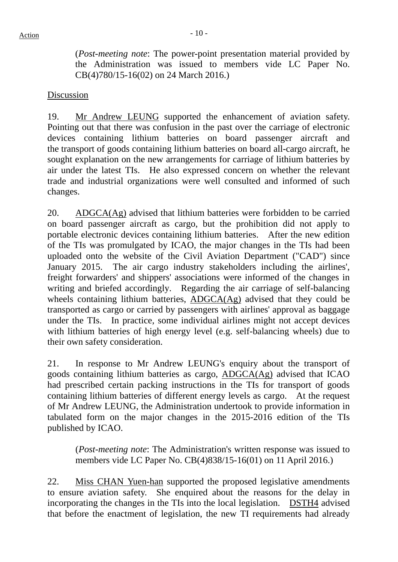(*Post-meeting note*: The power-point presentation material provided by the Administration was issued to members vide LC Paper No. CB(4)780/15-16(02) on 24 March 2016.)

#### Discussion

19. Mr Andrew LEUNG supported the enhancement of aviation safety. Pointing out that there was confusion in the past over the carriage of electronic devices containing lithium batteries on board passenger aircraft and the transport of goods containing lithium batteries on board all-cargo aircraft, he sought explanation on the new arrangements for carriage of lithium batteries by air under the latest TIs. He also expressed concern on whether the relevant trade and industrial organizations were well consulted and informed of such changes.

20. ADGCA(Ag) advised that lithium batteries were forbidden to be carried on board passenger aircraft as cargo, but the prohibition did not apply to portable electronic devices containing lithium batteries. After the new edition of the TIs was promulgated by ICAO, the major changes in the TIs had been uploaded onto the website of the Civil Aviation Department ("CAD") since January 2015. The air cargo industry stakeholders including the airlines', freight forwarders' and shippers' associations were informed of the changes in writing and briefed accordingly. Regarding the air carriage of self-balancing wheels containing lithium batteries, ADGCA(Ag) advised that they could be transported as cargo or carried by passengers with airlines' approval as baggage under the TIs. In practice, some individual airlines might not accept devices with lithium batteries of high energy level (e.g. self-balancing wheels) due to their own safety consideration.

21. In response to Mr Andrew LEUNG's enquiry about the transport of goods containing lithium batteries as cargo, ADGCA(Ag) advised that ICAO had prescribed certain packing instructions in the TIs for transport of goods containing lithium batteries of different energy levels as cargo. At the request of Mr Andrew LEUNG, the Administration undertook to provide information in tabulated form on the major changes in the 2015-2016 edition of the TIs published by ICAO.

(*Post-meeting note*: The Administration's written response was issued to members vide LC Paper No. CB(4)838/15-16(01) on 11 April 2016.)

22. Miss CHAN Yuen-han supported the proposed legislative amendments to ensure aviation safety. She enquired about the reasons for the delay in incorporating the changes in the TIs into the local legislation. DSTH4 advised that before the enactment of legislation, the new TI requirements had already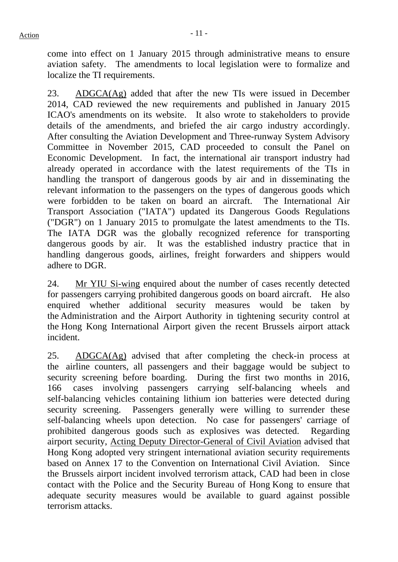come into effect on 1 January 2015 through administrative means to ensure aviation safety. The amendments to local legislation were to formalize and localize the TI requirements.

23. ADGCA(Ag) added that after the new TIs were issued in December 2014, CAD reviewed the new requirements and published in January 2015 ICAO's amendments on its website. It also wrote to stakeholders to provide details of the amendments, and briefed the air cargo industry accordingly. After consulting the Aviation Development and Three-runway System Advisory Committee in November 2015, CAD proceeded to consult the Panel on Economic Development. In fact, the international air transport industry had already operated in accordance with the latest requirements of the TIs in handling the transport of dangerous goods by air and in disseminating the relevant information to the passengers on the types of dangerous goods which were forbidden to be taken on board an aircraft. The International Air Transport Association ("IATA") updated its Dangerous Goods Regulations ("DGR") on 1 January 2015 to promulgate the latest amendments to the TIs. The IATA DGR was the globally recognized reference for transporting dangerous goods by air. It was the established industry practice that in handling dangerous goods, airlines, freight forwarders and shippers would adhere to DGR.

24. Mr YIU Si-wing enquired about the number of cases recently detected for passengers carrying prohibited dangerous goods on board aircraft. He also enquired whether additional security measures would be taken by the Administration and the Airport Authority in tightening security control at the Hong Kong International Airport given the recent Brussels airport attack incident.

25. ADGCA(Ag) advised that after completing the check-in process at the airline counters, all passengers and their baggage would be subject to security screening before boarding. During the first two months in 2016, 166 cases involving passengers carrying self-balancing wheels and self-balancing vehicles containing lithium ion batteries were detected during security screening. Passengers generally were willing to surrender these self-balancing wheels upon detection. No case for passengers' carriage of prohibited dangerous goods such as explosives was detected. Regarding airport security, Acting Deputy Director-General of Civil Aviation advised that Hong Kong adopted very stringent international aviation security requirements based on Annex 17 to the Convention on International Civil Aviation. Since the Brussels airport incident involved terrorism attack, CAD had been in close contact with the Police and the Security Bureau of Hong Kong to ensure that adequate security measures would be available to guard against possible terrorism attacks.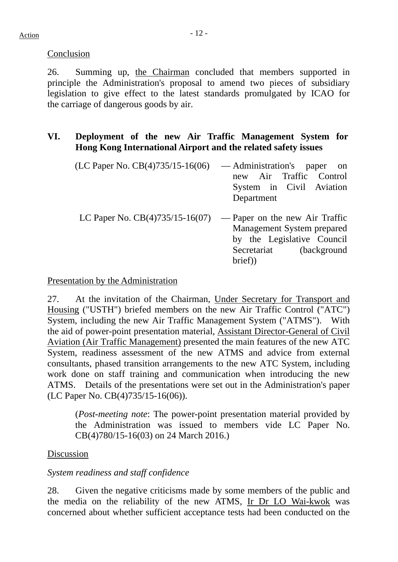Conclusion

26. Summing up, the Chairman concluded that members supported in principle the Administration's proposal to amend two pieces of subsidiary legislation to give effect to the latest standards promulgated by ICAO for the carriage of dangerous goods by air.

# **VI. Deployment of the new Air Traffic Management System for Hong Kong International Airport and the related safety issues**

| $(LC$ Paper No. $CB(4)735/15-16(06)$ — Administration's paper on | new Air Traffic Control                                                                       |
|------------------------------------------------------------------|-----------------------------------------------------------------------------------------------|
|                                                                  | System in Civil Aviation<br>Department                                                        |
| LC Paper No. $CB(4)735/15-16(07)$ — Paper on the new Air Traffic | Management System prepared<br>by the Legislative Council<br>Secretariat (background<br>brief) |

## Presentation by the Administration

27. At the invitation of the Chairman, Under Secretary for Transport and Housing ("USTH") briefed members on the new Air Traffic Control ("ATC") System, including the new Air Traffic Management System ("ATMS"). With the aid of power-point presentation material, Assistant Director-General of Civil Aviation (Air Traffic Management) presented the main features of the new ATC System, readiness assessment of the new ATMS and advice from external consultants, phased transition arrangements to the new ATC System, including work done on staff training and communication when introducing the new ATMS. Details of the presentations were set out in the Administration's paper (LC Paper No. CB(4)735/15-16(06)).

(*Post-meeting note*: The power-point presentation material provided by the Administration was issued to members vide LC Paper No. CB(4)780/15-16(03) on 24 March 2016.)

# Discussion

# *System readiness and staff confidence*

28. Given the negative criticisms made by some members of the public and the media on the reliability of the new ATMS, Ir Dr LO Wai-kwok was concerned about whether sufficient acceptance tests had been conducted on the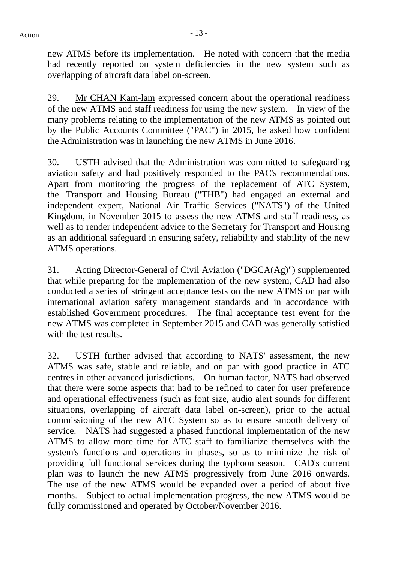new ATMS before its implementation. He noted with concern that the media had recently reported on system deficiencies in the new system such as overlapping of aircraft data label on-screen.

29. Mr CHAN Kam-lam expressed concern about the operational readiness of the new ATMS and staff readiness for using the new system. In view of the many problems relating to the implementation of the new ATMS as pointed out by the Public Accounts Committee ("PAC") in 2015, he asked how confident the Administration was in launching the new ATMS in June 2016.

30. USTH advised that the Administration was committed to safeguarding aviation safety and had positively responded to the PAC's recommendations. Apart from monitoring the progress of the replacement of ATC System, the Transport and Housing Bureau ("THB") had engaged an external and independent expert, National Air Traffic Services ("NATS") of the United Kingdom, in November 2015 to assess the new ATMS and staff readiness, as well as to render independent advice to the Secretary for Transport and Housing as an additional safeguard in ensuring safety, reliability and stability of the new ATMS operations.

31. Acting Director-General of Civil Aviation ("DGCA(Ag)") supplemented that while preparing for the implementation of the new system, CAD had also conducted a series of stringent acceptance tests on the new ATMS on par with international aviation safety management standards and in accordance with established Government procedures. The final acceptance test event for the new ATMS was completed in September 2015 and CAD was generally satisfied with the test results.

32. USTH further advised that according to NATS' assessment, the new ATMS was safe, stable and reliable, and on par with good practice in ATC centres in other advanced jurisdictions. On human factor, NATS had observed that there were some aspects that had to be refined to cater for user preference and operational effectiveness (such as font size, audio alert sounds for different situations, overlapping of aircraft data label on-screen), prior to the actual commissioning of the new ATC System so as to ensure smooth delivery of service. NATS had suggested a phased functional implementation of the new ATMS to allow more time for ATC staff to familiarize themselves with the system's functions and operations in phases, so as to minimize the risk of providing full functional services during the typhoon season. CAD's current plan was to launch the new ATMS progressively from June 2016 onwards. The use of the new ATMS would be expanded over a period of about five months. Subject to actual implementation progress, the new ATMS would be fully commissioned and operated by October/November 2016.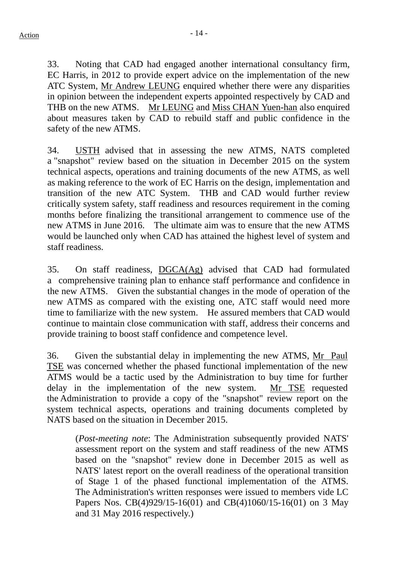33. Noting that CAD had engaged another international consultancy firm, EC Harris, in 2012 to provide expert advice on the implementation of the new ATC System, Mr Andrew LEUNG enquired whether there were any disparities in opinion between the independent experts appointed respectively by CAD and THB on the new ATMS. Mr LEUNG and Miss CHAN Yuen-han also enquired about measures taken by CAD to rebuild staff and public confidence in the safety of the new ATMS.

34. USTH advised that in assessing the new ATMS, NATS completed a "snapshot" review based on the situation in December 2015 on the system technical aspects, operations and training documents of the new ATMS, as well as making reference to the work of EC Harris on the design, implementation and transition of the new ATC System. THB and CAD would further review critically system safety, staff readiness and resources requirement in the coming months before finalizing the transitional arrangement to commence use of the new ATMS in June 2016. The ultimate aim was to ensure that the new ATMS would be launched only when CAD has attained the highest level of system and staff readiness.

35. On staff readiness, DGCA(Ag) advised that CAD had formulated a comprehensive training plan to enhance staff performance and confidence in the new ATMS. Given the substantial changes in the mode of operation of the new ATMS as compared with the existing one, ATC staff would need more time to familiarize with the new system. He assured members that CAD would continue to maintain close communication with staff, address their concerns and provide training to boost staff confidence and competence level.

36. Given the substantial delay in implementing the new ATMS, Mr Paul TSE was concerned whether the phased functional implementation of the new ATMS would be a tactic used by the Administration to buy time for further delay in the implementation of the new system. Mr TSE requested the Administration to provide a copy of the "snapshot" review report on the system technical aspects, operations and training documents completed by NATS based on the situation in December 2015.

(*Post-meeting note*: The Administration subsequently provided NATS' assessment report on the system and staff readiness of the new ATMS based on the "snapshot" review done in December 2015 as well as NATS' latest report on the overall readiness of the operational transition of Stage 1 of the phased functional implementation of the ATMS. The Administration's written responses were issued to members vide LC Papers Nos. CB(4)929/15-16(01) and CB(4)1060/15-16(01) on 3 May and 31 May 2016 respectively.)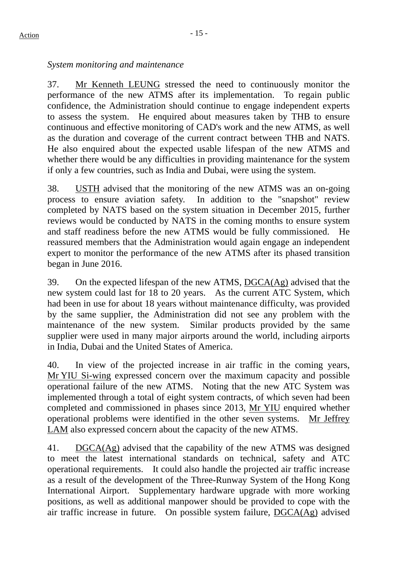# *System monitoring and maintenance*

37. Mr Kenneth LEUNG stressed the need to continuously monitor the performance of the new ATMS after its implementation. To regain public confidence, the Administration should continue to engage independent experts to assess the system. He enquired about measures taken by THB to ensure continuous and effective monitoring of CAD's work and the new ATMS, as well as the duration and coverage of the current contract between THB and NATS. He also enquired about the expected usable lifespan of the new ATMS and whether there would be any difficulties in providing maintenance for the system if only a few countries, such as India and Dubai, were using the system.

38. USTH advised that the monitoring of the new ATMS was an on-going process to ensure aviation safety. In addition to the "snapshot" review completed by NATS based on the system situation in December 2015, further reviews would be conducted by NATS in the coming months to ensure system and staff readiness before the new ATMS would be fully commissioned. He reassured members that the Administration would again engage an independent expert to monitor the performance of the new ATMS after its phased transition began in June 2016.

39. On the expected lifespan of the new ATMS, DGCA(Ag) advised that the new system could last for 18 to 20 years. As the current ATC System, which had been in use for about 18 years without maintenance difficulty, was provided by the same supplier, the Administration did not see any problem with the maintenance of the new system. Similar products provided by the same supplier were used in many major airports around the world, including airports in India, Dubai and the United States of America.

40. In view of the projected increase in air traffic in the coming years, Mr YIU Si-wing expressed concern over the maximum capacity and possible operational failure of the new ATMS. Noting that the new ATC System was implemented through a total of eight system contracts, of which seven had been completed and commissioned in phases since 2013, Mr YIU enquired whether operational problems were identified in the other seven systems. Mr Jeffrey LAM also expressed concern about the capacity of the new ATMS.

41. DGCA(Ag) advised that the capability of the new ATMS was designed to meet the latest international standards on technical, safety and ATC operational requirements. It could also handle the projected air traffic increase as a result of the development of the Three-Runway System of the Hong Kong International Airport. Supplementary hardware upgrade with more working positions, as well as additional manpower should be provided to cope with the air traffic increase in future. On possible system failure, DGCA(Ag) advised